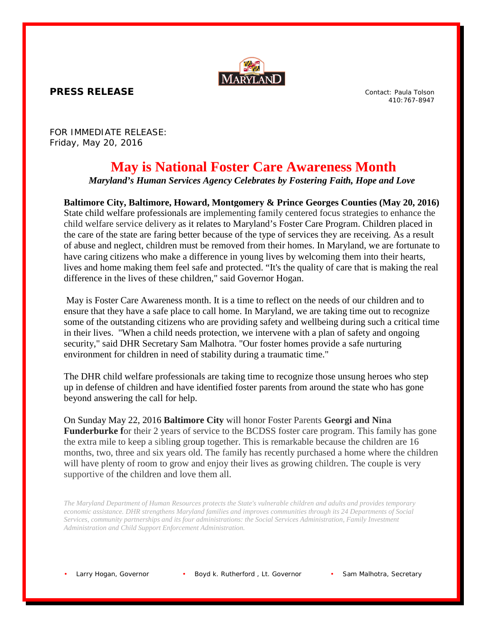

**PRESS RELEASE**

Contact: Paula Tolson 410:767-8947

FOR IMMEDIATE RELEASE: Friday, May 20, 2016

## **May is National Foster Care Awareness Month**

*Maryland's Human Services Agency Celebrates by Fostering Faith, Hope and Love*

## **Baltimore City, Baltimore, Howard, Montgomery & Prince Georges Counties (May 20, 2016)**

State child welfare professionals are implementing family centered focus strategies to enhance the child welfare service delivery as it relates to Maryland's Foster Care Program. Children placed in the care of the state are faring better because of the type of services they are receiving. As a result of abuse and neglect, children must be removed from their homes. In Maryland, we are fortunate to have caring citizens who make a difference in young lives by welcoming them into their hearts, lives and home making them feel safe and protected. "It's the quality of care that is making the real difference in the lives of these children," said Governor Hogan.

May is Foster Care Awareness month. It is a time to reflect on the needs of our children and to ensure that they have a safe place to call home. In Maryland, we are taking time out to recognize some of the outstanding citizens who are providing safety and wellbeing during such a critical time in their lives. "When a child needs protection, we intervene with a plan of safety and ongoing security," said DHR Secretary Sam Malhotra. "Our foster homes provide a safe nurturing environment for children in need of stability during a traumatic time."

The DHR child welfare professionals are taking time to recognize those unsung heroes who step up in defense of children and have identified foster parents from around the state who has gone beyond answering the call for help.

On Sunday May 22, 2016 **Baltimore City** will honor Foster Parents **Georgi and Nina Funderburke** for their 2 years of service to the BCDSS foster care program. This family has gone the extra mile to keep a sibling group together. This is remarkable because the children are 16 months, two, three and six years old. The family has recently purchased a home where the children will have plenty of room to grow and enjoy their lives as growing children. The couple is very supportive of the children and love them all.

*The Maryland Department of Human Resources protects the State's vulnerable children and adults and provides temporary economic assistance. DHR strengthens Maryland families and improves communities through its 24 Departments of Social Services, community partnerships and its four administrations: the Social Services Administration, Family Investment Administration and Child Support Enforcement Administration.*

Larry Hogan, Governor • Boyd k. Rutherford, Lt. Governor • Sam Malhotra, Secretary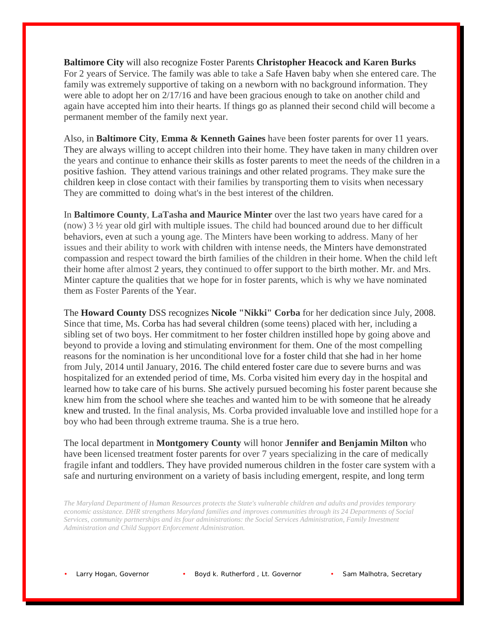**Baltimore City** will also recognize Foster Parents **Christopher Heacock and Karen Burks** For 2 years of Service. The family was able to take a Safe Haven baby when she entered care. The family was extremely supportive of taking on a newborn with no background information. They were able to adopt her on 2/17/16 and have been gracious enough to take on another child and again have accepted him into their hearts. If things go as planned their second child will become a permanent member of the family next year.

Also, in **Baltimore City**, **Emma & Kenneth Gaines** have been foster parents for over 11 years. They are always willing to accept children into their home. They have taken in many children over the years and continue to enhance their skills as foster parents to meet the needs of the children in a positive fashion. They attend various trainings and other related programs. They make sure the children keep in close contact with their families by transporting them to visits when necessary They are committed to doing what's in the best interest of the children.

In **Baltimore County**, **LaTasha and Maurice Minter** over the last two years have cared for a (now) 3 ½ year old girl with multiple issues. The child had bounced around due to her difficult behaviors, even at such a young age. The Minters have been working to address. Many of her issues and their ability to work with children with intense needs, the Minters have demonstrated compassion and respect toward the birth families of the children in their home. When the child left their home after almost 2 years, they continued to offer support to the birth mother. Mr. and Mrs. Minter capture the qualities that we hope for in foster parents, which is why we have nominated them as Foster Parents of the Year.

The **Howard County** DSS recognizes **Nicole "Nikki" Corba** for her dedication since July, 2008. Since that time, Ms. Corba has had several children (some teens) placed with her, including a sibling set of two boys. Her commitment to her foster children instilled hope by going above and beyond to provide a loving and stimulating environment for them. One of the most compelling reasons for the nomination is her unconditional love for a foster child that she had in her home from July, 2014 until January, 2016. The child entered foster care due to severe burns and was hospitalized for an extended period of time, Ms. Corba visited him every day in the hospital and learned how to take care of his burns. She actively pursued becoming his foster parent because she knew him from the school where she teaches and wanted him to be with someone that he already knew and trusted. In the final analysis, Ms. Corba provided invaluable love and instilled hope for a boy who had been through extreme trauma. She is a true hero.

The local department in **Montgomery County** will honor **Jennifer and Benjamin Milton** who have been licensed treatment foster parents for over 7 years specializing in the care of medically fragile infant and toddlers. They have provided numerous children in the foster care system with a safe and nurturing environment on a variety of basis including emergent, respite, and long term

*The Maryland Department of Human Resources protects the State's vulnerable children and adults and provides temporary economic assistance. DHR strengthens Maryland families and improves communities through its 24 Departments of Social Services, community partnerships and its four administrations: the Social Services Administration, Family Investment Administration and Child Support Enforcement Administration.*

Larry Hogan, Governor • Boyd k. Rutherford , Lt. Governor • Sam Malhotra, Secretary